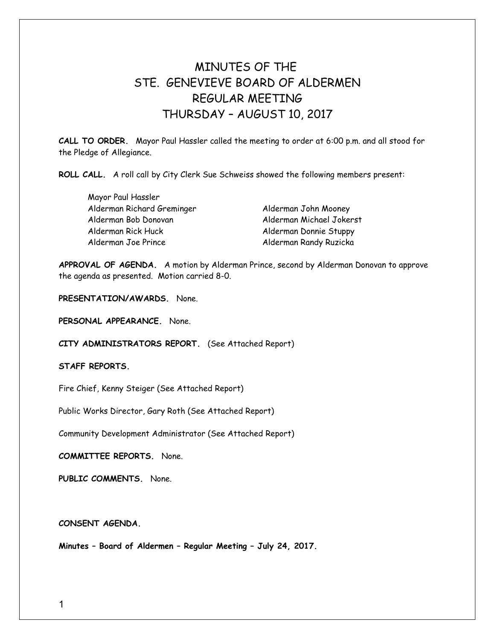## MINUTES OF THE STE. GENEVIEVE BOARD OF ALDERMEN REGULAR MEETING THURSDAY – AUGUST 10, 2017

**CALL TO ORDER.** Mayor Paul Hassler called the meeting to order at 6:00 p.m. and all stood for the Pledge of Allegiance.

**ROLL CALL.** A roll call by City Clerk Sue Schweiss showed the following members present:

Mayor Paul Hassler Alderman Richard Greminger Alderman John Mooney Alderman Bob Donovan Alderman Michael Jokerst Alderman Rick Huck Alderman Donnie Stuppy Alderman Joe Prince Alderman Randy Ruzicka

**APPROVAL OF AGENDA.** A motion by Alderman Prince, second by Alderman Donovan to approve the agenda as presented. Motion carried 8-0.

**PRESENTATION/AWARDS.** None.

**PERSONAL APPEARANCE.** None.

**CITY ADMINISTRATORS REPORT.** (See Attached Report)

**STAFF REPORTS.** 

Fire Chief, Kenny Steiger (See Attached Report)

Public Works Director, Gary Roth (See Attached Report)

Community Development Administrator (See Attached Report)

**COMMITTEE REPORTS.** None.

**PUBLIC COMMENTS.** None.

**CONSENT AGENDA.** 

**Minutes – Board of Aldermen – Regular Meeting – July 24, 2017.**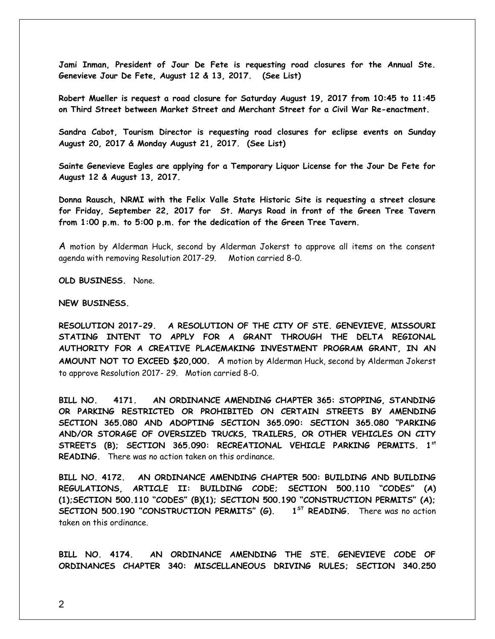**Jami Inman, President of Jour De Fete is requesting road closures for the Annual Ste. Genevieve Jour De Fete, August 12 & 13, 2017. (See List)**

**Robert Mueller is request a road closure for Saturday August 19, 2017 from 10:45 to 11:45 on Third Street between Market Street and Merchant Street for a Civil War Re-enactment.**

**Sandra Cabot, Tourism Director is requesting road closures for eclipse events on Sunday August 20, 2017 & Monday August 21, 2017. (See List)** 

**Sainte Genevieve Eagles are applying for a Temporary Liquor License for the Jour De Fete for August 12 & August 13, 2017.** 

**Donna Rausch, NRMI with the Felix Valle State Historic Site is requesting a street closure for Friday, September 22, 2017 for St. Marys Road in front of the Green Tree Tavern from 1:00 p.m. to 5:00 p.m. for the dedication of the Green Tree Tavern.** 

A motion by Alderman Huck, second by Alderman Jokerst to approve all items on the consent agenda with removing Resolution 2017-29. Motion carried 8-0.

**OLD BUSINESS.** None.

## **NEW BUSINESS.**

**RESOLUTION 2017-29. A RESOLUTION OF THE CITY OF STE. GENEVIEVE, MISSOURI STATING INTENT TO APPLY FOR A GRANT THROUGH THE DELTA REGIONAL AUTHORITY FOR A CREATIVE PLACEMAKING INVESTMENT PROGRAM GRANT, IN AN AMOUNT NOT TO EXCEED \$20,000.** A motion by Alderman Huck, second by Alderman Jokerst to approve Resolution 2017- 29. Motion carried 8-0.

**BILL NO. 4171. AN ORDINANCE AMENDING CHAPTER 365: STOPPING, STANDING OR PARKING RESTRICTED OR PROHIBITED ON CERTAIN STREETS BY AMENDING SECTION 365.080 AND ADOPTING SECTION 365.090: SECTION 365.080 "PARKING AND/OR STORAGE OF OVERSIZED TRUCKS, TRAILERS, OR OTHER VEHICLES ON CITY STREETS (B); SECTION 365.090: RECREATIONAL VEHICLE PARKING PERMITS. 1st READING.** There was no action taken on this ordinance.

**BILL NO. 4172. AN ORDINANCE AMENDING CHAPTER 500: BUILDING AND BUILDING REGULATIONS, ARTICLE II: BUILDING CODE; SECTION 500.110 "CODES" (A) (1);SECTION 500.110 "CODES" (B)(1); SECTION 500.190 "CONSTRUCTION PERMITS" (A); SECTION 500.190 "CONSTRUCTION PERMITS" (G). 1ST READING.** There was no action taken on this ordinance.

**BILL NO. 4174. AN ORDINANCE AMENDING THE STE. GENEVIEVE CODE OF ORDINANCES CHAPTER 340: MISCELLANEOUS DRIVING RULES; SECTION 340.250**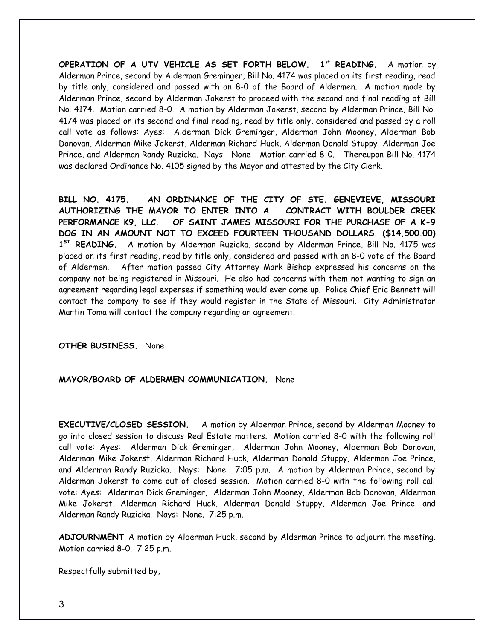**OPERATION OF A UTV VEHICLE AS SET FORTH BELOW. 1st READING.** A motion by Alderman Prince, second by Alderman Greminger, Bill No. 4174 was placed on its first reading, read by title only, considered and passed with an 8-0 of the Board of Aldermen. A motion made by Alderman Prince, second by Alderman Jokerst to proceed with the second and final reading of Bill No. 4174. Motion carried 8-0. A motion by Alderman Jokerst, second by Alderman Prince, Bill No. 4174 was placed on its second and final reading, read by title only, considered and passed by a roll call vote as follows: Ayes: Alderman Dick Greminger, Alderman John Mooney, Alderman Bob Donovan, Alderman Mike Jokerst, Alderman Richard Huck, Alderman Donald Stuppy, Alderman Joe Prince, and Alderman Randy Ruzicka. Nays: None Motion carried 8-0. Thereupon Bill No. 4174 was declared Ordinance No. 4105 signed by the Mayor and attested by the City Clerk.

**BILL NO. 4175. AN ORDINANCE OF THE CITY OF STE. GENEVIEVE, MISSOURI AUTHORIZING THE MAYOR TO ENTER INTO A CONTRACT WITH BOULDER CREEK PERFORMANCE K9, LLC. OF SAINT JAMES MISSOURI FOR THE PURCHASE OF A K-9 DOG IN AN AMOUNT NOT TO EXCEED FOURTEEN THOUSAND DOLLARS. (\$14,500.00) 1 ST READING.** A motion by Alderman Ruzicka, second by Alderman Prince, Bill No. 4175 was placed on its first reading, read by title only, considered and passed with an 8-0 vote of the Board of Aldermen. After motion passed City Attorney Mark Bishop expressed his concerns on the company not being registered in Missouri. He also had concerns with them not wanting to sign an agreement regarding legal expenses if something would ever come up. Police Chief Eric Bennett will contact the company to see if they would register in the State of Missouri. City Administrator Martin Toma will contact the company regarding an agreement.

**OTHER BUSINESS.** None

## **MAYOR/BOARD OF ALDERMEN COMMUNICATION.** None

**EXECUTIVE/CLOSED SESSION.** A motion by Alderman Prince, second by Alderman Mooney to go into closed session to discuss Real Estate matters. Motion carried 8-0 with the following roll call vote: Ayes: Alderman Dick Greminger, Alderman John Mooney, Alderman Bob Donovan, Alderman Mike Jokerst, Alderman Richard Huck, Alderman Donald Stuppy, Alderman Joe Prince, and Alderman Randy Ruzicka. Nays: None. 7:05 p.m. A motion by Alderman Prince, second by Alderman Jokerst to come out of closed session. Motion carried 8-0 with the following roll call vote: Ayes: Alderman Dick Greminger, Alderman John Mooney, Alderman Bob Donovan, Alderman Mike Jokerst, Alderman Richard Huck, Alderman Donald Stuppy, Alderman Joe Prince, and Alderman Randy Ruzicka. Nays: None. 7:25 p.m.

**ADJOURNMENT** A motion by Alderman Huck, second by Alderman Prince to adjourn the meeting. Motion carried 8-0. 7:25 p.m.

Respectfully submitted by,